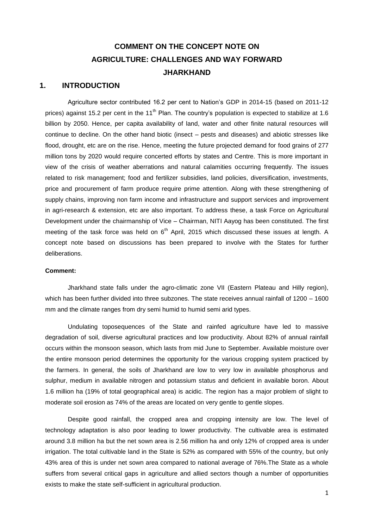## **COMMENT ON THE CONCEPT NOTE ON AGRICULTURE: CHALLENGES AND WAY FORWARD JHARKHAND**

## **1. INTRODUCTION**

Agriculture sector contributed 16.2 per cent to Nation"s GDP in 2014-15 (based on 2011-12 prices) against 15.2 per cent in the 11<sup>th</sup> Plan. The country's population is expected to stabilize at 1.6 billion by 2050. Hence, per capita availability of land, water and other finite natural resources will continue to decline. On the other hand biotic (insect – pests and diseases) and abiotic stresses like flood, drought, etc are on the rise. Hence, meeting the future projected demand for food grains of 277 million tons by 2020 would require concerted efforts by states and Centre. This is more important in view of the crisis of weather aberrations and natural calamities occurring frequently. The issues related to risk management; food and fertilizer subsidies, land policies, diversification, investments, price and procurement of farm produce require prime attention. Along with these strengthening of supply chains, improving non farm income and infrastructure and support services and improvement in agri-research & extension, etc are also important. To address these, a task Force on Agricultural Development under the chairmanship of Vice – Chairman, NITI Aayog has been constituted. The first meeting of the task force was held on  $6<sup>th</sup>$  April, 2015 which discussed these issues at length. A concept note based on discussions has been prepared to involve with the States for further deliberations.

#### **Comment:**

Jharkhand state falls under the agro-climatic zone VII (Eastern Plateau and Hilly region), which has been further divided into three subzones. The state receives annual rainfall of 1200 – 1600 mm and the climate ranges from dry semi humid to humid semi arid types.

Undulating toposequences of the State and rainfed agriculture have led to massive degradation of soil, diverse agricultural practices and low productivity. About 82% of annual rainfall occurs within the monsoon season, which lasts from mid June to September. Available moisture over the entire monsoon period determines the opportunity for the various cropping system practiced by the farmers. In general, the soils of Jharkhand are low to very low in available phosphorus and sulphur, medium in available nitrogen and potassium status and deficient in available boron. About 1.6 million ha (19% of total geographical area) is acidic. The region has a major problem of slight to moderate soil erosion as 74% of the areas are located on very gentle to gentle slopes.

Despite good rainfall, the cropped area and cropping intensity are low. The level of technology adaptation is also poor leading to lower productivity. The cultivable area is estimated around 3.8 million ha but the net sown area is 2.56 million ha and only 12% of cropped area is under irrigation. The total cultivable land in the State is 52% as compared with 55% of the country, but only 43% area of this is under net sown area compared to national average of 76%.The State as a whole suffers from several critical gaps in agriculture and allied sectors though a number of opportunities exists to make the state self-sufficient in agricultural production.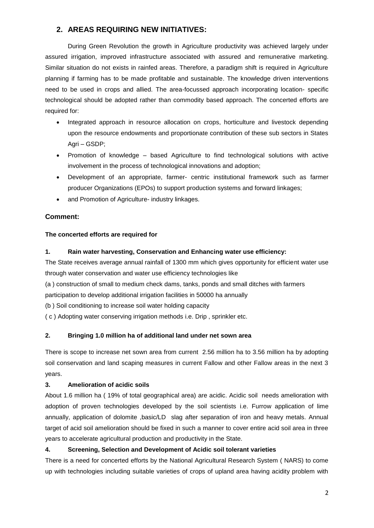## **2. AREAS REQUIRING NEW INITIATIVES:**

During Green Revolution the growth in Agriculture productivity was achieved largely under assured irrigation, improved infrastructure associated with assured and remunerative marketing. Similar situation do not exists in rainfed areas. Therefore, a paradigm shift is required in Agriculture planning if farming has to be made profitable and sustainable. The knowledge driven interventions need to be used in crops and allied. The area-focussed approach incorporating location- specific technological should be adopted rather than commodity based approach. The concerted efforts are required for:

- Integrated approach in resource allocation on crops, horticulture and livestock depending upon the resource endowments and proportionate contribution of these sub sectors in States Agri – GSDP;
- Promotion of knowledge based Agriculture to find technological solutions with active involvement in the process of technological innovations and adoption;
- Development of an appropriate, farmer- centric institutional framework such as farmer producer Organizations (EPOs) to support production systems and forward linkages;
- and Promotion of Agriculture- industry linkages.

## **Comment:**

## **The concerted efforts are required for**

## **1. Rain water harvesting, Conservation and Enhancing water use efficiency:**

The State receives average annual rainfall of 1300 mm which gives opportunity for efficient water use through water conservation and water use efficiency technologies like

(a ) construction of small to medium check dams, tanks, ponds and small ditches with farmers

participation to develop additional irrigation facilities in 50000 ha annually

(b ) Soil conditioning to increase soil water holding capacity

( c ) Adopting water conserving irrigation methods i.e. Drip , sprinkler etc.

## **2. Bringing 1.0 million ha of additional land under net sown area**

There is scope to increase net sown area from current 2.56 million ha to 3.56 million ha by adopting soil conservation and land scaping measures in current Fallow and other Fallow areas in the next 3 years.

### **3. Amelioration of acidic soils**

About 1.6 million ha ( 19% of total geographical area) are acidic. Acidic soil needs amelioration with adoption of proven technologies developed by the soil scientists i.e. Furrow application of lime annually, application of dolomite ,basic/LD slag after separation of iron and heavy metals. Annual target of acid soil amelioration should be fixed in such a manner to cover entire acid soil area in three years to accelerate agricultural production and productivity in the State.

## **4. Screening, Selection and Development of Acidic soil tolerant varieties**

There is a need for concerted efforts by the National Agricultural Research System ( NARS) to come up with technologies including suitable varieties of crops of upland area having acidity problem with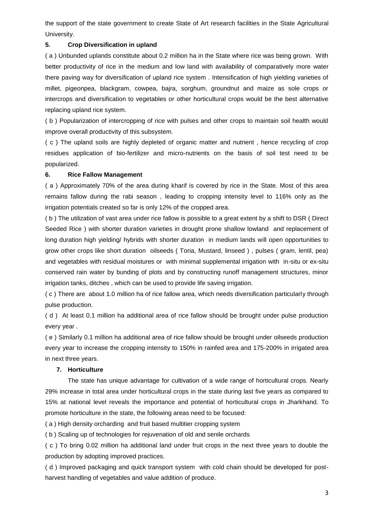the support of the state government to create State of Art research facilities in the State Agricultural University.

#### **5. Crop Diversification in upland**

( a ) Unbunded uplands constitute about 0.2 million ha in the State where rice was being grown. With better productivity of rice in the medium and low land with availability of comparatively more water there paving way for diversification of upland rice system . Intensification of high yielding varieties of millet, pigeonpea, blackgram, cowpea, bajra, sorghum, groundnut and maize as sole crops or intercrops and diversification to vegetables or other horticultural crops would be the best alternative replacing upland rice system.

( b ) Popularization of intercropping of rice with pulses and other crops to maintain soil health would improve overall productivity of this subsystem.

( c ) The upland soils are highly depleted of organic matter and nutrient , hence recycling of crop residues application of bio-fertilizer and micro-nutrients on the basis of soil test need to be popularized.

#### **6. Rice Fallow Management**

( a ) Approximately 70% of the area during kharif is covered by rice in the State. Most of this area remains fallow during the rabi season , leading to cropping intensity level to 116% only as the irrigation potentials created so far is only 12% of the cropped area.

( b ) The utilization of vast area under rice fallow is possible to a great extent by a shift to DSR ( Direct Seeded Rice ) with shorter duration varieties in drought prone shallow lowland and replacement of long duration high yielding/ hybrids with shorter duration in medium lands will open opportunities to grow other crops like short duration oilseeds ( Toria, Mustard, linseed ) , pulses ( gram, lentil, pea) and vegetables with residual moistures or with minimal supplemental irrigation with in-situ or ex-situ conserved rain water by bunding of plots and by constructing runoff management structures, minor irrigation tanks, ditches , which can be used to provide life saving irrigation.

( c ) There are about 1.0 million ha of rice fallow area, which needs diversification particularly through pulse production.

( d ) At least 0.1 million ha additional area of rice fallow should be brought under pulse production every year .

( e ) Similarly 0.1 million ha additional area of rice fallow should be brought under oilseeds production every year to increase the cropping intensity to 150% in rainfed area and 175-200% in irrigated area in next three years.

#### **7. Horticulture**

The state has unique advantage for cultivation of a wide range of horticultural crops. Nearly 29% increase in total area under horticultural crops in the state during last five years as compared to 15% at national level reveals the importance and potential of horticultural crops in Jharkhand. To promote horticulture in the state, the following areas need to be focused:

( a ) High density orcharding and fruit based multitier cropping system

( b ) Scaling up of technologies for rejuvenation of old and senile orchards

( c ) To bring 0.02 million ha additional land under fruit crops in the next three years to double the production by adopting improved practices.

( d ) Improved packaging and quick transport system with cold chain should be developed for postharvest handling of vegetables and value addition of produce.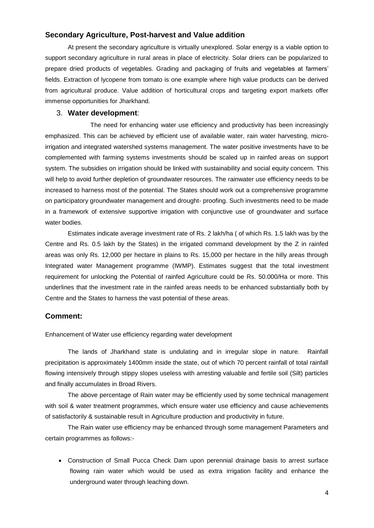### **Secondary Agriculture, Post-harvest and Value addition**

At present the secondary agriculture is virtually unexplored. Solar energy is a viable option to support secondary agriculture in rural areas in place of electricity. Solar driers can be popularized to prepare dried products of vegetables. Grading and packaging of fruits and vegetables at farmers" fields. Extraction of lycopene from tomato is one example where high value products can be derived from agricultural produce. Value addition of horticultural crops and targeting export markets offer immense opportunities for Jharkhand.

## 3. **Water development**:

The need for enhancing water use efficiency and productivity has been increasingly emphasized. This can be achieved by efficient use of available water, rain water harvesting, microirrigation and integrated watershed systems management. The water positive investments have to be complemented with farming systems investments should be scaled up in rainfed areas on support system. The subsidies on irrigation should be linked with sustainability and social equity concern. This will help to avoid further depletion of groundwater resources. The rainwater use efficiency needs to be increased to harness most of the potential. The States should work out a comprehensive programme on participatory groundwater management and drought- proofing. Such investments need to be made in a framework of extensive supportive irrigation with conjunctive use of groundwater and surface water bodies.

Estimates indicate average investment rate of Rs. 2 lakh/ha ( of which Rs. 1.5 lakh was by the Centre and Rs. 0.5 lakh by the States) in the irrigated command development by the Z in rainfed areas was only Rs. 12,000 per hectare in plains to Rs. 15,000 per hectare in the hilly areas through Integrated water Management programme (IWMP). Estimates suggest that the total investment requirement for unlocking the Potential of rainfed Agriculture could be Rs. 50.000/Ha or more. This underlines that the investment rate in the rainfed areas needs to be enhanced substantially both by Centre and the States to harness the vast potential of these areas.

## **Comment:**

Enhancement of Water use efficiency regarding water development

The lands of Jharkhand state is undulating and in irregular slope in nature. Rainfall precipitation is approximately 1400mm inside the state, out of which 70 percent rainfall of total rainfall flowing intensively through stippy slopes useless with arresting valuable and fertile soil (Silt) particles and finally accumulates in Broad Rivers.

The above percentage of Rain water may be efficiently used by some technical management with soil & water treatment programmes, which ensure water use efficiency and cause achievements of satisfactorily & sustainable result in Agriculture production and productivity in future.

The Rain water use efficiency may be enhanced through some management Parameters and certain programmes as follows:-

 Construction of Small Pucca Check Dam upon perennial drainage basis to arrest surface flowing rain water which would be used as extra irrigation facility and enhance the underground water through leaching down.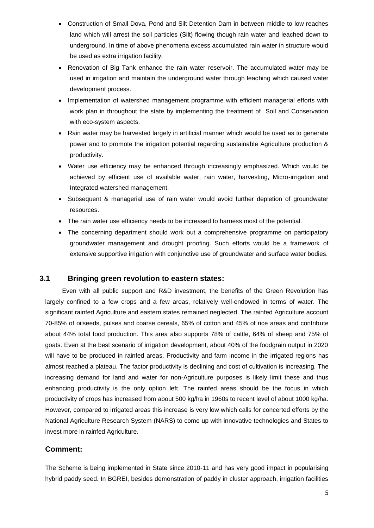- Construction of Small Dova, Pond and Silt Detention Dam in between middle to low reaches land which will arrest the soil particles (Silt) flowing though rain water and leached down to underground. In time of above phenomena excess accumulated rain water in structure would be used as extra irrigation facility.
- Renovation of Big Tank enhance the rain water reservoir. The accumulated water may be used in irrigation and maintain the underground water through leaching which caused water development process.
- Implementation of watershed management programme with efficient managerial efforts with work plan in throughout the state by implementing the treatment of Soil and Conservation with eco-system aspects.
- Rain water may be harvested largely in artificial manner which would be used as to generate power and to promote the irrigation potential regarding sustainable Agriculture production & productivity.
- Water use efficiency may be enhanced through increasingly emphasized. Which would be achieved by efficient use of available water, rain water, harvesting, Micro-irrigation and Integrated watershed management.
- Subsequent & managerial use of rain water would avoid further depletion of groundwater resources.
- The rain water use efficiency needs to be increased to harness most of the potential.
- The concerning department should work out a comprehensive programme on participatory groundwater management and drought proofing. Such efforts would be a framework of extensive supportive irrigation with conjunctive use of groundwater and surface water bodies.

## **3.1 Bringing green revolution to eastern states:**

Even with all public support and R&D investment, the benefits of the Green Revolution has largely confined to a few crops and a few areas, relatively well-endowed in terms of water. The significant rainfed Agriculture and eastern states remained neglected. The rainfed Agriculture account 70-85% of oilseeds, pulses and coarse cereals, 65% of cotton and 45% of rice areas and contribute about 44% total food production. This area also supports 78% of cattle, 64% of sheep and 75% of goats. Even at the best scenario of irrigation development, about 40% of the foodgrain output in 2020 will have to be produced in rainfed areas. Productivity and farm income in the irrigated regions has almost reached a plateau. The factor productivity is declining and cost of cultivation is increasing. The increasing demand for land and water for non-Agriculture purposes is likely limit these and thus enhancing productivity is the only option left. The rainfed areas should be the focus in which productivity of crops has increased from about 500 kg/ha in 1960s to recent level of about 1000 kg/ha. However, compared to irrigated areas this increase is very low which calls for concerted efforts by the National Agriculture Research System (NARS) to come up with innovative technologies and States to invest more in rainfed Agriculture.

## **Comment:**

The Scheme is being implemented in State since 2010-11 and has very good impact in popularising hybrid paddy seed. In BGREI, besides demonstration of paddy in cluster approach, irrigation facilities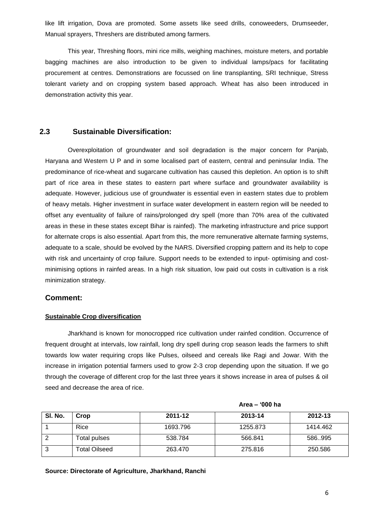like lift irrigation, Dova are promoted. Some assets like seed drills, conoweeders, Drumseeder, Manual sprayers, Threshers are distributed among farmers.

This year, Threshing floors, mini rice mills, weighing machines, moisture meters, and portable bagging machines are also introduction to be given to individual lamps/pacs for facilitating procurement at centres. Demonstrations are focussed on line transplanting, SRI technique, Stress tolerant variety and on cropping system based approach. Wheat has also been introduced in demonstration activity this year.

## **2.3 Sustainable Diversification:**

Overexploitation of groundwater and soil degradation is the major concern for Panjab, Haryana and Western U P and in some localised part of eastern, central and peninsular India. The predominance of rice-wheat and sugarcane cultivation has caused this depletion. An option is to shift part of rice area in these states to eastern part where surface and groundwater availability is adequate. However, judicious use of groundwater is essential even in eastern states due to problem of heavy metals. Higher investment in surface water development in eastern region will be needed to offset any eventuality of failure of rains/prolonged dry spell (more than 70% area of the cultivated areas in these in these states except Bihar is rainfed). The marketing infrastructure and price support for alternate crops is also essential. Apart from this, the more remunerative alternate farming systems, adequate to a scale, should be evolved by the NARS. Diversified cropping pattern and its help to cope with risk and uncertainty of crop failure. Support needs to be extended to input- optimising and costminimising options in rainfed areas. In a high risk situation, low paid out costs in cultivation is a risk minimization strategy.

#### **Comment:**

#### **Sustainable Crop diversification**

 Jharkhand is known for monocropped rice cultivation under rainfed condition. Occurrence of frequent drought at intervals, low rainfall, long dry spell during crop season leads the farmers to shift towards low water requiring crops like Pulses, oilseed and cereals like Ragi and Jowar. With the increase in irrigation potential farmers used to grow 2-3 crop depending upon the situation. If we go through the coverage of different crop for the last three years it shows increase in area of pulses & oil seed and decrease the area of rice.

|         |               | Area - '000 ha |          |          |  |  |
|---------|---------------|----------------|----------|----------|--|--|
| SI. No. | Crop          | 2011-12        | 2013-14  | 2012-13  |  |  |
|         | Rice          | 1693.796       | 1255.873 | 1414.462 |  |  |
| 2       | Total pulses  | 538.784        | 566.841  | 586995   |  |  |
| 3       | Total Oilseed | 263,470        | 275.816  | 250.586  |  |  |

**Source: Directorate of Agriculture, Jharkhand, Ranchi**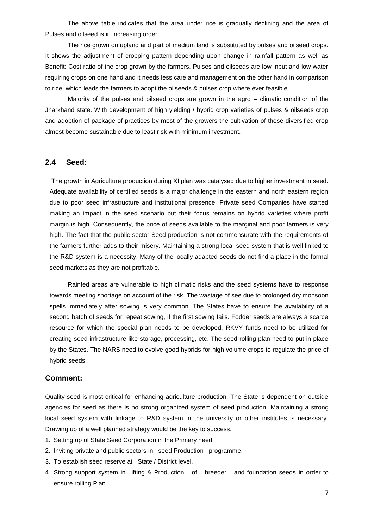The above table indicates that the area under rice is gradually declining and the area of Pulses and oilseed is in increasing order.

 The rice grown on upland and part of medium land is substituted by pulses and oilseed crops. It shows the adjustment of cropping pattern depending upon change in rainfall pattern as well as Benefit: Cost ratio of the crop grown by the farmers. Pulses and oilseeds are low input and low water requiring crops on one hand and it needs less care and management on the other hand in comparison to rice, which leads the farmers to adopt the oilseeds & pulses crop where ever feasible.

 Majority of the pulses and oilseed crops are grown in the agro – climatic condition of the Jharkhand state. With development of high yielding / hybrid crop varieties of pulses & oilseeds crop and adoption of package of practices by most of the growers the cultivation of these diversified crop almost become sustainable due to least risk with minimum investment.

## **2.4 Seed:**

The growth in Agriculture production during XI plan was catalysed due to higher investment in seed. Adequate availability of certified seeds is a major challenge in the eastern and north eastern region due to poor seed infrastructure and institutional presence. Private seed Companies have started making an impact in the seed scenario but their focus remains on hybrid varieties where profit margin is high. Consequently, the price of seeds available to the marginal and poor farmers is very high. The fact that the public sector Seed production is not commensurate with the requirements of the farmers further adds to their misery. Maintaining a strong local-seed system that is well linked to the R&D system is a necessity. Many of the locally adapted seeds do not find a place in the formal seed markets as they are not profitable.

Rainfed areas are vulnerable to high climatic risks and the seed systems have to response towards meeting shortage on account of the risk. The wastage of see due to prolonged dry monsoon spells immediately after sowing is very common. The States have to ensure the availability of a second batch of seeds for repeat sowing, if the first sowing fails. Fodder seeds are always a scarce resource for which the special plan needs to be developed. RKVY funds need to be utilized for creating seed infrastructure like storage, processing, etc. The seed rolling plan need to put in place by the States. The NARS need to evolve good hybrids for high volume crops to regulate the price of hybrid seeds.

#### **Comment:**

Quality seed is most critical for enhancing agriculture production. The State is dependent on outside agencies for seed as there is no strong organized system of seed production. Maintaining a strong local seed system with linkage to R&D system in the university or other institutes is necessary. Drawing up of a well planned strategy would be the key to success.

- 1. Setting up of State Seed Corporation in the Primary need.
- 2. Inviting private and public sectors in seed Production programme.
- 3. To establish seed reserve at State / District level.
- 4. Strong support system in Lifting & Production of breeder and foundation seeds in order to ensure rolling Plan.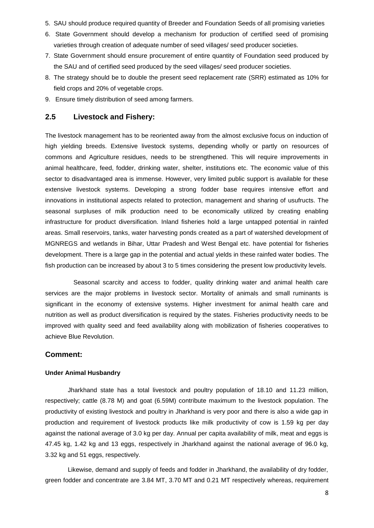- 5. SAU should produce required quantity of Breeder and Foundation Seeds of all promising varieties
- 6. State Government should develop a mechanism for production of certified seed of promising varieties through creation of adequate number of seed villages/ seed producer societies.
- 7. State Government should ensure procurement of entire quantity of Foundation seed produced by the SAU and of certified seed produced by the seed villages/ seed producer societies.
- 8. The strategy should be to double the present seed replacement rate (SRR) estimated as 10% for field crops and 20% of vegetable crops.
- 9. Ensure timely distribution of seed among farmers.

## **2.5 Livestock and Fishery:**

The livestock management has to be reoriented away from the almost exclusive focus on induction of high yielding breeds. Extensive livestock systems, depending wholly or partly on resources of commons and Agriculture residues, needs to be strengthened. This will require improvements in animal healthcare, feed, fodder, drinking water, shelter, institutions etc. The economic value of this sector to disadvantaged area is immense. However, very limited public support is available for these extensive livestock systems. Developing a strong fodder base requires intensive effort and innovations in institutional aspects related to protection, management and sharing of usufructs. The seasonal surpluses of milk production need to be economically utilized by creating enabling infrastructure for product diversification. Inland fisheries hold a large untapped potential in rainfed areas. Small reservoirs, tanks, water harvesting ponds created as a part of watershed development of MGNREGS and wetlands in Bihar, Uttar Pradesh and West Bengal etc. have potential for fisheries development. There is a large gap in the potential and actual yields in these rainfed water bodies. The fish production can be increased by about 3 to 5 times considering the present low productivity levels.

Seasonal scarcity and access to fodder, quality drinking water and animal health care services are the major problems in livestock sector. Mortality of animals and small ruminants is significant in the economy of extensive systems. Higher investment for animal health care and nutrition as well as product diversification is required by the states. Fisheries productivity needs to be improved with quality seed and feed availability along with mobilization of fisheries cooperatives to achieve Blue Revolution.

#### **Comment:**

#### **Under Animal Husbandry**

Jharkhand state has a total livestock and poultry population of 18.10 and 11.23 million, respectively; cattle (8.78 M) and goat (6.59M) contribute maximum to the livestock population. The productivity of existing livestock and poultry in Jharkhand is very poor and there is also a wide gap in production and requirement of livestock products like milk productivity of cow is 1.59 kg per day against the national average of 3.0 kg per day. Annual per capita availability of milk, meat and eggs is 47.45 kg, 1.42 kg and 13 eggs, respectively in Jharkhand against the national average of 96.0 kg, 3.32 kg and 51 eggs, respectively.

Likewise, demand and supply of feeds and fodder in Jharkhand, the availability of dry fodder, green fodder and concentrate are 3.84 MT, 3.70 MT and 0.21 MT respectively whereas, requirement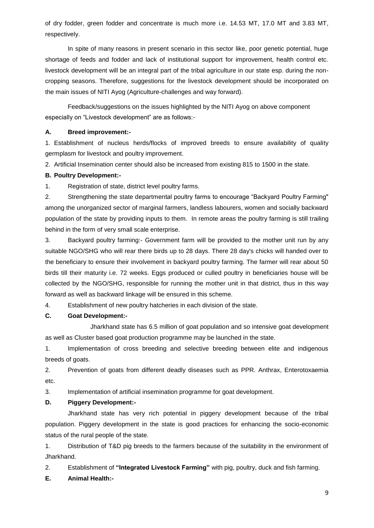of dry fodder, green fodder and concentrate is much more i.e. 14.53 MT, 17.0 MT and 3.83 MT, respectively.

In spite of many reasons in present scenario in this sector like, poor genetic potential, huge shortage of feeds and fodder and lack of institutional support for improvement, health control etc. livestock development will be an integral part of the tribal agriculture in our state esp. during the noncropping seasons. Therefore, suggestions for the livestock development should be incorporated on the main issues of NITI Ayog (Agriculture-challenges and way forward).

Feedback/suggestions on the issues highlighted by the NITI Ayog on above component especially on "Livestock development" are as follows:-

#### **A. Breed improvement:-**

1. Establishment of nucleus herds/flocks of improved breeds to ensure availability of quality germplasm for livestock and poultry improvement.

2. Artificial Insemination center should also be increased from existing 815 to 1500 in the state.

#### **B. Poultry Development:-**

1. Registration of state, district level poultry farms.

2. Strengthening the state departmental poultry farms to encourage "Backyard Poultry Farming" among the unorganized sector of marginal farmers, landless labourers, women and socially backward population of the state by providing inputs to them. In remote areas the poultry farming is still trailing behind in the form of very small scale enterprise.

3. Backyard poultry farming:- Government farm will be provided to the mother unit run by any suitable NGO/SHG who will rear there birds up to 28 days. There 28 day's chicks will handed over to the beneficiary to ensure their involvement in backyard poultry farming. The farmer will rear about 50 birds till their maturity i.e. 72 weeks. Eggs produced or culled poultry in beneficiaries house will be collected by the NGO/SHG, responsible for running the mother unit in that district, thus in this way forward as well as backward linkage will be ensured in this scheme.

4. Establishment of new poultry hatcheries in each division of the state.

### **C. Goat Development:-**

Jharkhand state has 6.5 million of goat population and so intensive goat development as well as Cluster based goat production programme may be launched in the state.

1. Implementation of cross breeding and selective breeding between elite and indigenous breeds of goats.

2. Prevention of goats from different deadly diseases such as PPR. Anthrax, Enterotoxaemia etc.

3. Implementation of artificial insemination programme for goat development.

### **D. Piggery Development:-**

Jharkhand state has very rich potential in piggery development because of the tribal population. Piggery development in the state is good practices for enhancing the socio-economic status of the rural people of the state.

1. Distribution of T&D pig breeds to the farmers because of the suitability in the environment of Jharkhand.

2. Establishment of **"Integrated Livestock Farming"** with pig, poultry, duck and fish farming.

## **E. Animal Health:-**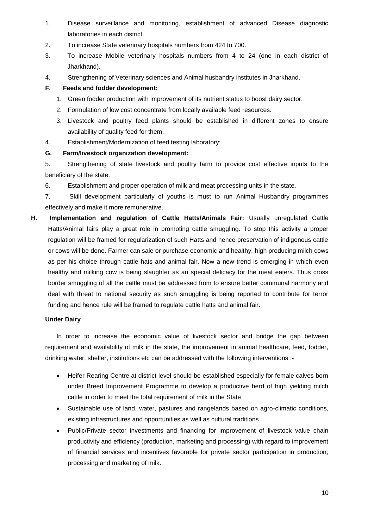- 1. Disease surveillance and monitoring, establishment of advanced Disease diagnostic laboratories in each district.
- 2. To increase State veterinary hospitals numbers from 424 to 700.
- 3. To increase Mobile veterinary hospitals numbers from 4 to 24 (one in each district of Jharkhand).
- 4. Strengthening of Veterinary sciences and Animal husbandry institutes in Jharkhand.

## **F. Feeds and fodder development:**

- 1. Green fodder production with improvement of its nutrient status to boost dairy sector.
- 2. Formulation of low cost concentrate from locally available feed resources.
- 3. Livestock and poultry feed plants should be established in different zones to ensure availability of quality feed for them.
- 4. Establishment/Modernization of feed testing laboratory:

### **G. Farm/livestock organization development:**

5. Strengthening of state livestock and poultry farm to provide cost effective inputs to the beneficiary of the state.

6. Establishment and proper operation of milk and meat processing units in the state.

7. Skill development particularly of youths is must to run Animal Husbandry programmes effectively and make it more remunerative.

**H. Implementation and regulation of Cattle Hatts/Animals Fair:** Usually unregulated Cattle Hatts/Animal fairs play a great role in promoting cattle smuggling. To stop this activity a proper regulation will be framed for regularization of such Hatts and hence preservation of indigenous cattle or cows will be done. Farmer can sale or purchase economic and healthy, high producing milch cows as per his choice through cattle hats and animal fair. Now a new trend is emerging in which even healthy and milking cow is being slaughter as an special delicacy for the meat eaters. Thus cross border smuggling of all the cattle must be addressed from to ensure better communal harmony and deal with threat to national security as such smuggling is being reported to contribute for terror funding and hence rule will be framed to regulate cattle hatts and animal fair.

### **Under Dairy**

In order to increase the economic value of livestock sector and bridge the gap between requirement and availability of milk in the state, the improvement in animal healthcare, feed, fodder, drinking water, shelter, institutions etc can be addressed with the following interventions :-

- Heifer Rearing Centre at district level should be established especially for female calves born under Breed Improvement Programme to develop a productive herd of high yielding milch cattle in order to meet the total requirement of milk in the State.
- Sustainable use of land, water, pastures and rangelands based on agro-climatic conditions, existing infrastructures and opportunities as well as cultural traditions.
- Public/Private sector investments and financing for improvement of livestock value chain productivity and efficiency (production, marketing and processing) with regard to improvement of financial services and incentives favorable for private sector participation in production, processing and marketing of milk.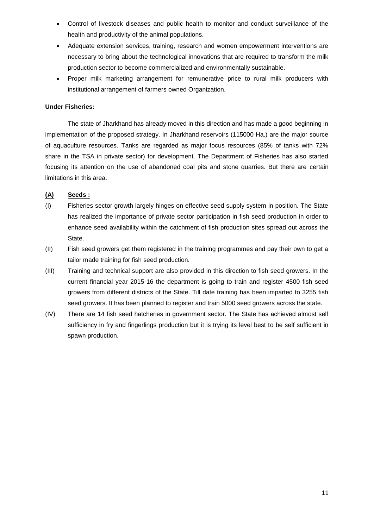- Control of livestock diseases and public health to monitor and conduct surveillance of the health and productivity of the animal populations.
- Adequate extension services, training, research and women empowerment interventions are necessary to bring about the technological innovations that are required to transform the milk production sector to become commercialized and environmentally sustainable.
- Proper milk marketing arrangement for remunerative price to rural milk producers with institutional arrangement of farmers owned Organization.

### **Under Fisheries:**

The state of Jharkhand has already moved in this direction and has made a good beginning in implementation of the proposed strategy. In Jharkhand reservoirs (115000 Ha.) are the major source of aquaculture resources. Tanks are regarded as major focus resources (85% of tanks with 72% share in the TSA in private sector) for development. The Department of Fisheries has also started focusing its attention on the use of abandoned coal pits and stone quarries. But there are certain limitations in this area.

## **(A) Seeds :**

- (I) Fisheries sector growth largely hinges on effective seed supply system in position. The State has realized the importance of private sector participation in fish seed production in order to enhance seed availability within the catchment of fish production sites spread out across the State.
- (II) Fish seed growers get them registered in the training programmes and pay their own to get a tailor made training for fish seed production.
- (III) Training and technical support are also provided in this direction to fish seed growers. In the current financial year 2015-16 the department is going to train and register 4500 fish seed growers from different districts of the State. Till date training has been imparted to 3255 fish seed growers. It has been planned to register and train 5000 seed growers across the state.
- (IV) There are 14 fish seed hatcheries in government sector. The State has achieved almost self sufficiency in fry and fingerlings production but it is trying its level best to be self sufficient in spawn production.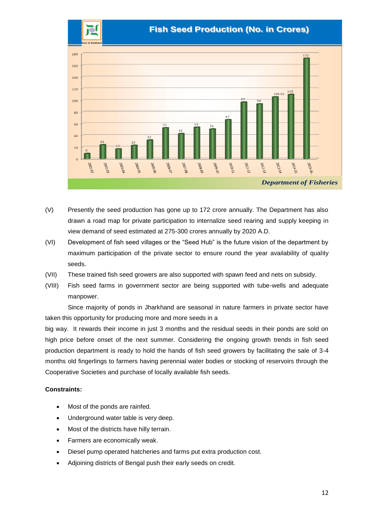

- (V) Presently the seed production has gone up to 172 crore annually. The Department has also drawn a road map for private participation to internalize seed rearing and supply keeping in view demand of seed estimated at 275-300 crores annually by 2020 A.D.
- (VI) Development of fish seed villages or the "Seed Hub" is the future vision of the department by maximum participation of the private sector to ensure round the year availability of quality seeds.
- (VII) These trained fish seed growers are also supported with spawn feed and nets on subsidy.
- (VIII) Fish seed farms in government sector are being supported with tube-wells and adequate manpower.

Since majority of ponds in Jharkhand are seasonal in nature farmers in private sector have taken this opportunity for producing more and more seeds in a

big way. It rewards their income in just 3 months and the residual seeds in their ponds are sold on high price before onset of the next summer. Considering the ongoing growth trends in fish seed production department is ready to hold the hands of fish seed growers by facilitating the sale of 3-4 months old fingerlings to farmers having perennial water bodies or stocking of reservoirs through the Cooperative Societies and purchase of locally available fish seeds.

## **Constraints:**

- Most of the ponds are rainfed.
- Underground water table is very deep.
- Most of the districts have hilly terrain.
- Farmers are economically weak.
- Diesel pump operated hatcheries and farms put extra production cost.
- Adjoining districts of Bengal push their early seeds on credit.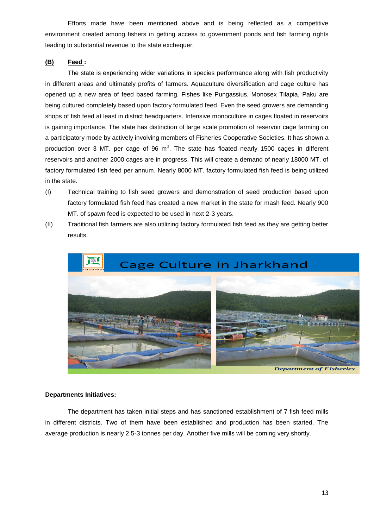Efforts made have been mentioned above and is being reflected as a competitive environment created among fishers in getting access to government ponds and fish farming rights leading to substantial revenue to the state exchequer.

## **(B) Feed :**

The state is experiencing wider variations in species performance along with fish productivity in different areas and ultimately profits of farmers. Aquaculture diversification and cage culture has opened up a new area of feed based farming. Fishes like Pungassius, Monosex Tilapia, Paku are being cultured completely based upon factory formulated feed. Even the seed growers are demanding shops of fish feed at least in district headquarters. Intensive monoculture in cages floated in reservoirs is gaining importance. The state has distinction of large scale promotion of reservoir cage farming on a participatory mode by actively involving members of Fisheries Cooperative Societies. It has shown a production over 3 MT. per cage of 96  $m<sup>3</sup>$ . The state has floated nearly 1500 cages in different reservoirs and another 2000 cages are in progress. This will create a demand of nearly 18000 MT. of factory formulated fish feed per annum. Nearly 8000 MT. factory formulated fish feed is being utilized in the state.

- (I) Technical training to fish seed growers and demonstration of seed production based upon factory formulated fish feed has created a new market in the state for mash feed. Nearly 900 MT. of spawn feed is expected to be used in next 2-3 years.
- (II) Traditional fish farmers are also utilizing factory formulated fish feed as they are getting better results.



#### **Departments Initiatives:**

The department has taken initial steps and has sanctioned establishment of 7 fish feed mills in different districts. Two of them have been established and production has been started. The average production is nearly 2.5-3 tonnes per day. Another five mills will be coming very shortly.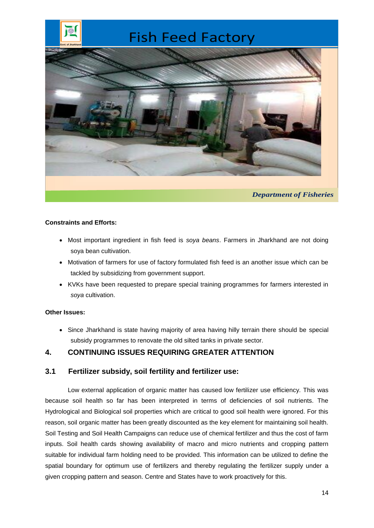# Fish Feed Factory



### **Constraints and Efforts:**

- Most important ingredient in fish feed is *soya beans*. Farmers in Jharkhand are not doing soya bean cultivation.
- Motivation of farmers for use of factory formulated fish feed is an another issue which can be tackled by subsidizing from government support.
- KVKs have been requested to prepare special training programmes for farmers interested in *soya* cultivation.

## **Other Issues:**

• Since Jharkhand is state having majority of area having hilly terrain there should be special subsidy programmes to renovate the old silted tanks in private sector.

## **4. CONTINUING ISSUES REQUIRING GREATER ATTENTION**

## **3.1 Fertilizer subsidy, soil fertility and fertilizer use:**

Low external application of organic matter has caused low fertilizer use efficiency. This was because soil health so far has been interpreted in terms of deficiencies of soil nutrients. The Hydrological and Biological soil properties which are critical to good soil health were ignored. For this reason, soil organic matter has been greatly discounted as the key element for maintaining soil health. Soil Testing and Soil Health Campaigns can reduce use of chemical fertilizer and thus the cost of farm inputs. Soil health cards showing availability of macro and micro nutrients and cropping pattern suitable for individual farm holding need to be provided. This information can be utilized to define the spatial boundary for optimum use of fertilizers and thereby regulating the fertilizer supply under a given cropping pattern and season. Centre and States have to work proactively for this.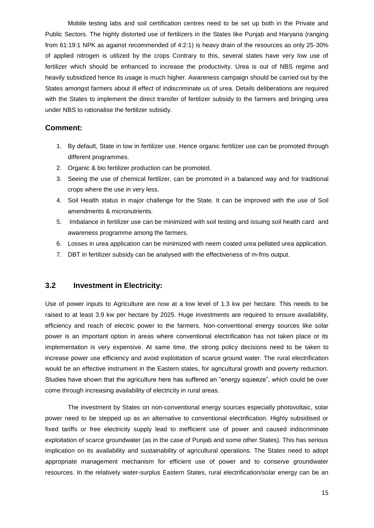Mobile testing labs and soil certification centres need to be set up both in the Private and Public Sectors. The highly distorted use of fertilizers in the States like Punjab and Haryana (ranging from 61:19:1 NPK as against recommended of 4:2:1) is heavy drain of the resources as only 25-30% of applied nitrogen is utilized by the crops Contrary to this, several states have very low use of fertilizer which should be enhanced to increase the productivity. Urea is out of NBS regime and heavily subsidized hence its usage is much higher. Awareness campaign should be carried out by the States amongst farmers about ill effect of indiscriminate us of urea. Details deliberations are required with the States to implement the direct transfer of fertilizer subsidy to the farmers and bringing urea under NBS to rationalise the fertilizer subsidy.

## **Comment:**

- 1. By default, State in low in fertilizer use. Hence organic fertilizer use can be promoted through different programmes.
- 2. Organic & bio fertilizer production can be promoted.
- 3. Seeing the use of chemical fertilizer, can be promoted in a balanced way and for traditional crops where the use in very less.
- 4. Soil Health status in major challenge for the State. It can be improved with the use of Soil amendments & micronutrients.
- 5. Imbalance in fertilizer use can be minimized with soil testing and issuing soil health card and awareness programme among the farmers.
- 6. Losses in urea application can be minimized with neem coated urea pellated urea application.
- 7. DBT in fertilizer subsidy can be analysed with the effectiveness of m-fms output.

## **3.2 Investment in Electricity:**

Use of power inputs to Agriculture are now at a low level of 1.3 kw per hectare. This needs to be raised to at least 3.9 kw per hectare by 2025. Huge investments are required to ensure availability, efficiency and reach of electric power to the farmers. Non-conventional energy sources like solar power is an important option in areas where conventional electrification has not taken place or its implementation is very expensive. At same time, the strong policy decisions need to be taken to increase power use efficiency and avoid exploitation of scarce ground water. The rural electrification would be an effective instrument in the Eastern states, for agricultural growth and poverty reduction. Studies have shown that the agriculture here has suffered an "energy squeeze", which could be over come through increasing availability of electricity in rural areas.

The investment by States on non-conventional energy sources especially photovoltaic, solar power need to be stepped up as an alternative to conventional electrification. Highly subsidised or fixed tariffs or free electricity supply lead to inefficient use of power and caused indiscriminate exploitation of scarce groundwater (as in the case of Punjab and some other States). This has serious implication on its availability and sustainability of agricultural operations. The States need to adopt appropriate management mechanism for efficient use of power and to conserve groundwater resources. In the relatively water-surplus Eastern States, rural electrification/solar energy can be an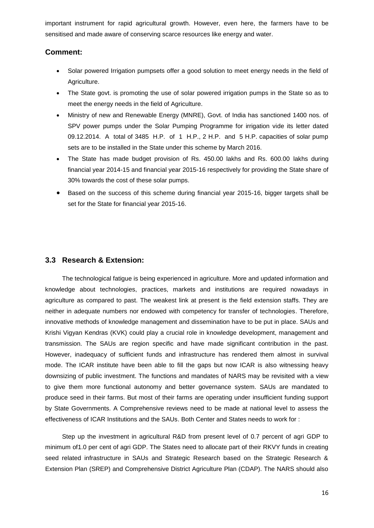important instrument for rapid agricultural growth. However, even here, the farmers have to be sensitised and made aware of conserving scarce resources like energy and water.

## **Comment:**

- Solar powered Irrigation pumpsets offer a good solution to meet energy needs in the field of Agriculture.
- The State govt. is promoting the use of solar powered irrigation pumps in the State so as to meet the energy needs in the field of Agriculture.
- Ministry of new and Renewable Energy (MNRE), Govt. of India has sanctioned 1400 nos. of SPV power pumps under the Solar Pumping Programme for irrigation vide its letter dated 09.12.2014. A total of 3485 H.P. of 1 H.P., 2 H.P. and 5 H.P. capacities of solar pump sets are to be installed in the State under this scheme by March 2016.
- The State has made budget provision of Rs. 450.00 lakhs and Rs. 600.00 lakhs during financial year 2014-15 and financial year 2015-16 respectively for providing the State share of 30% towards the cost of these solar pumps.
- Based on the success of this scheme during financial year 2015-16, bigger targets shall be set for the State for financial year 2015-16.

## **3.3 Research & Extension:**

The technological fatigue is being experienced in agriculture. More and updated information and knowledge about technologies, practices, markets and institutions are required nowadays in agriculture as compared to past. The weakest link at present is the field extension staffs. They are neither in adequate numbers nor endowed with competency for transfer of technologies. Therefore, innovative methods of knowledge management and dissemination have to be put in place. SAUs and Krishi Vigyan Kendras (KVK) could play a crucial role in knowledge development, management and transmission. The SAUs are region specific and have made significant contribution in the past. However, inadequacy of sufficient funds and infrastructure has rendered them almost in survival mode. The ICAR institute have been able to fill the gaps but now ICAR is also witnessing heavy downsizing of public investment. The functions and mandates of NARS may be revisited with a view to give them more functional autonomy and better governance system. SAUs are mandated to produce seed in their farms. But most of their farms are operating under insufficient funding support by State Governments. A Comprehensive reviews need to be made at national level to assess the effectiveness of ICAR Institutions and the SAUs. Both Center and States needs to work for :

Step up the investment in agricultural R&D from present level of 0.7 percent of agri GDP to minimum of1.0 per cent of agri GDP. The States need to allocate part of their RKVY funds in creating seed related infrastructure in SAUs and Strategic Research based on the Strategic Research & Extension Plan (SREP) and Comprehensive District Agriculture Plan (CDAP). The NARS should also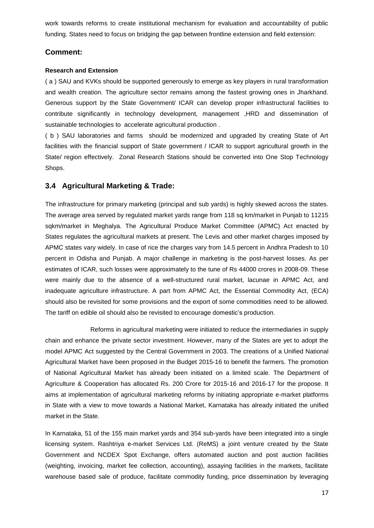work towards reforms to create institutional mechanism for evaluation and accountability of public funding. States need to focus on bridging the gap between frontline extension and field extension:

## **Comment:**

### **Research and Extension**

( a ) SAU and KVKs should be supported generously to emerge as key players in rural transformation and wealth creation. The agriculture sector remains among the fastest growing ones in Jharkhand. Generous support by the State Government/ ICAR can develop proper infrastructural facilities to contribute significantly in technology development, management ,HRD and dissemination of sustainable technologies to accelerate agricultural production .

( b ) SAU laboratories and farms should be modernized and upgraded by creating State of Art facilities with the financial support of State government / ICAR to support agricultural growth in the State/ region effectively. Zonal Research Stations should be converted into One Stop Technology Shops.

## **3.4 Agricultural Marketing & Trade:**

The infrastructure for primary marketing (principal and sub yards) is highly skewed across the states. The average area served by regulated market yards range from 118 sq km/market in Punjab to 11215 sqkm/market in Meghalya. The Agricultural Produce Market Committee (APMC) Act enacted by States regulates the agricultural markets at present. The Levis and other market charges imposed by APMC states vary widely. In case of rice the charges vary from 14.5 percent in Andhra Pradesh to 10 percent in Odisha and Punjab. A major challenge in marketing is the post-harvest losses. As per estimates of ICAR, such losses were approximately to the tune of Rs 44000 crores in 2008-09. These were mainly due to the absence of a well-structured rural market, lacunae in APMC Act, and inadequate agriculture infrastructure. A part from APMC Act, the Essential Commodity Act, (ECA) should also be revisited for some provisions and the export of some commodities need to be allowed. The tariff on edible oil should also be revisited to encourage domestic's production.

Reforms in agricultural marketing were initiated to reduce the intermediaries in supply chain and enhance the private sector investment. However, many of the States are yet to adopt the model APMC Act suggested by the Central Government in 2003. The creations of a Unified National Agricultural Market have been proposed in the Budget 2015-16 to benefit the farmers. The promotion of National Agricultural Market has already been initiated on a limited scale. The Department of Agriculture & Cooperation has allocated Rs. 200 Crore for 2015-16 and 2016-17 for the propose. It aims at implementation of agricultural marketing reforms by initiating appropriate e-market platforms in State with a view to move towards a National Market, Karnataka has already initiated the unified market in the State.

In Karnataka, 51 of the 155 main market yards and 354 sub-yards have been integrated into a single licensing system. Rashtriya e-market Services Ltd. (ReMS) a joint venture created by the State Government and NCDEX Spot Exchange, offers automated auction and post auction facilities (weighting, invoicing, market fee collection, accounting), assaying facilities in the markets, facilitate warehouse based sale of produce, facilitate commodity funding, price dissemination by leveraging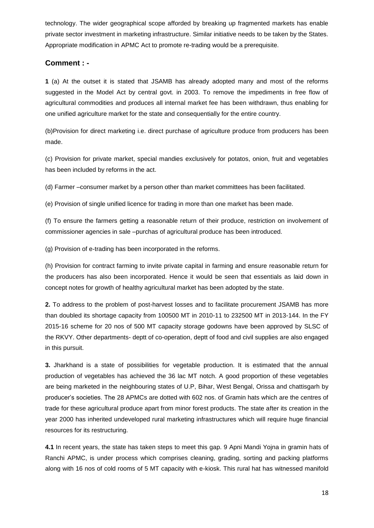technology. The wider geographical scope afforded by breaking up fragmented markets has enable private sector investment in marketing infrastructure. Similar initiative needs to be taken by the States. Appropriate modification in APMC Act to promote re-trading would be a prerequisite.

## **Comment : -**

**1** (a) At the outset it is stated that JSAMB has already adopted many and most of the reforms suggested in the Model Act by central govt. in 2003. To remove the impediments in free flow of agricultural commodities and produces all internal market fee has been withdrawn, thus enabling for one unified agriculture market for the state and consequentially for the entire country.

(b)Provision for direct marketing i.e. direct purchase of agriculture produce from producers has been made.

(c) Provision for private market, special mandies exclusively for potatos, onion, fruit and vegetables has been included by reforms in the act.

(d) Farmer –consumer market by a person other than market committees has been facilitated.

(e) Provision of single unified licence for trading in more than one market has been made.

(f) To ensure the farmers getting a reasonable return of their produce, restriction on involvement of commissioner agencies in sale –purchas of agricultural produce has been introduced.

(g) Provision of e-trading has been incorporated in the reforms.

(h) Provision for contract farming to invite private capital in farming and ensure reasonable return for the producers has also been incorporated. Hence it would be seen that essentials as laid down in concept notes for growth of healthy agricultural market has been adopted by the state.

**2.** To address to the problem of post-harvest losses and to facilitate procurement JSAMB has more than doubled its shortage capacity from 100500 MT in 2010-11 to 232500 MT in 2013-144. In the FY 2015-16 scheme for 20 nos of 500 MT capacity storage godowns have been approved by SLSC of the RKVY. Other departments- deptt of co-operation, deptt of food and civil supplies are also engaged in this pursuit.

**3.** Jharkhand is a state of possibilities for vegetable production. It is estimated that the annual production of vegetables has achieved the 36 lac MT notch. A good proportion of these vegetables are being marketed in the neighbouring states of U.P, Bihar, West Bengal, Orissa and chattisgarh by producer"s societies. The 28 APMCs are dotted with 602 nos. of Gramin hats which are the centres of trade for these agricultural produce apart from minor forest products. The state after its creation in the year 2000 has inherited undeveloped rural marketing infrastructures which will require huge financial resources for its restructuring.

**4.1** In recent years, the state has taken steps to meet this gap. 9 Apni Mandi Yojna in gramin hats of Ranchi APMC, is under process which comprises cleaning, grading, sorting and packing platforms along with 16 nos of cold rooms of 5 MT capacity with e-kiosk. This rural hat has witnessed manifold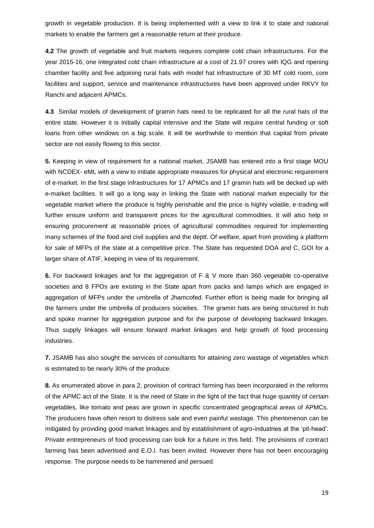growth in vegetable production. It is being implemented with a view to link it to state and national markets to enable the farmers get a reasonable return at their produce.

**4.2** The growth of vegetable and fruit markets requires complete cold chain infrastructures. For the year 2015-16, one integrated cold chain infrastructure at a cost of 21.97 crores with IQG and ripening chamber facility and five adjoining rural hats with model hat infrastructure of 30 MT cold room, core facilities and support, service and maintenance infrastructures have been approved under RKVY for Ranchi and adjacent APMCs.

**4.3** Similar models of development of gramin hats need to be replicated for all the rural hats of the entire state. However it is initially capital intensive and the State will require central funding or soft loans from other windows on a big scale. It will be worthwhile to mention that capital from private sector are not easily flowing to this sector.

**5.** Keeping in view of requirement for a national market, JSAMB has entered into a first stage MOU with NCDEX- eML with a view to initiate appropriate measures for physical and electronic requirement of e-market. In the first stage infrastructures for 17 APMCs and 17 gramin hats will be decked up with e-market facilities. It will go a long way in linking the State with national market especially for the vegetable market where the produce is highly perishable and the price is highly volatile, e-trading will further ensure uniform and transparent prices for the agricultural commodities. It will also help in ensuring procurement at reasonable prices of agricultural commodities required for implementing many schemes of the food and civil supplies and the deptt. Of welfare, apart from providing a platform for sale of MFPs of the state at a competitive price. The State has requested DOA and C, GOI for a larger share of ATIF, keeping in view of its requirement.

**6.** For backward linkages and for the aggregation of F & V more than 360 vegetable co-operative societies and 8 FPOs are existing in the State apart from packs and lamps which are engaged in aggregation of MFPs under the umbrella of Jhamcofed. Further effort is being made for bringing all the farmers under the umbrella of producers societies. The gramin hats are being structured in hub and spoke manner for aggregation purpose and for the purpose of developing backward linkages. Thus supply linkages will ensure forward market linkages and help growth of food processing industries.

**7.** JSAMB has also sought the services of consultants for attaining zero wastage of vegetables which is estimated to be nearly 30% of the produce.

**8.** As enumerated above in para 2, provision of contract farming has been incorporated in the reforms of the APMC act of the State. It is the need of State in the light of the fact that huge quantity of certain vegetables, like tomato and peas are grown in specific concentrated geographical areas of APMCs. The producers have often resort to distress sale and even painful wastage. This phenomenon can be mitigated by providing good market linkages and by establishment of agro-industries at the "pit-head". Private entrepreneurs of food processing can look for a future in this field. The provisions of contract farming has been advertised and E.O.I. has been invited. However there has not been encouraging response. The purpose needs to be hammered and persued.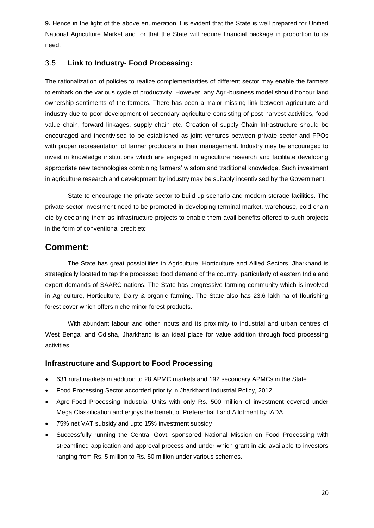**9.** Hence in the light of the above enumeration it is evident that the State is well prepared for Unified National Agriculture Market and for that the State will require financial package in proportion to its need.

## 3.5 **Link to Industry- Food Processing:**

The rationalization of policies to realize complementarities of different sector may enable the farmers to embark on the various cycle of productivity. However, any Agri-business model should honour land ownership sentiments of the farmers. There has been a major missing link between agriculture and industry due to poor development of secondary agriculture consisting of post-harvest activities, food value chain, forward linkages, supply chain etc. Creation of supply Chain Infrastructure should be encouraged and incentivised to be established as joint ventures between private sector and FPOs with proper representation of farmer producers in their management. Industry may be encouraged to invest in knowledge institutions which are engaged in agriculture research and facilitate developing appropriate new technologies combining farmers' wisdom and traditional knowledge. Such investment in agriculture research and development by industry may be suitably incentivised by the Government.

State to encourage the private sector to build up scenario and modern storage facilities. The private sector investment need to be promoted in developing terminal market, warehouse, cold chain etc by declaring them as infrastructure projects to enable them avail benefits offered to such projects in the form of conventional credit etc.

## **Comment:**

The State has great possibilities in Agriculture, Horticulture and Allied Sectors. Jharkhand is strategically located to tap the processed food demand of the country, particularly of eastern India and export demands of SAARC nations. The State has progressive farming community which is involved in Agriculture, Horticulture, Dairy & organic farming. The State also has 23.6 lakh ha of flourishing forest cover which offers niche minor forest products.

With abundant labour and other inputs and its proximity to industrial and urban centres of West Bengal and Odisha, Jharkhand is an ideal place for value addition through food processing activities.

## **Infrastructure and Support to Food Processing**

- 631 rural markets in addition to 28 APMC markets and 192 secondary APMCs in the State
- Food Processing Sector accorded priority in Jharkhand Industrial Policy, 2012
- Agro-Food Processing Industrial Units with only Rs. 500 million of investment covered under Mega Classification and enjoys the benefit of Preferential Land Allotment by IADA.
- 75% net VAT subsidy and upto 15% investment subsidy
- Successfully running the Central Govt. sponsored National Mission on Food Processing with streamlined application and approval process and under which grant in aid available to investors ranging from Rs. 5 million to Rs. 50 million under various schemes.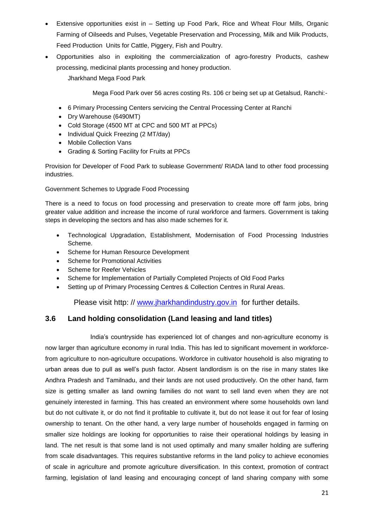- Extensive opportunities exist in Setting up Food Park, Rice and Wheat Flour Mills, Organic Farming of Oilseeds and Pulses, Vegetable Preservation and Processing, Milk and Milk Products, Feed Production Units for Cattle, Piggery, Fish and Poultry.
- Opportunities also in exploiting the commercialization of agro-forestry Products, cashew processing, medicinal plants processing and honey production.

Jharkhand Mega Food Park

Mega Food Park over 56 acres costing Rs. 106 cr being set up at Getalsud, Ranchi:-

- 6 Primary Processing Centers servicing the Central Processing Center at Ranchi
- Dry Warehouse (6490MT)
- Cold Storage (4500 MT at CPC and 500 MT at PPCs)
- Individual Quick Freezing (2 MT/day)
- Mobile Collection Vans
- Grading & Sorting Facility for Fruits at PPCs

Provision for Developer of Food Park to sublease Government/ RIADA land to other food processing industries.

Government Schemes to Upgrade Food Processing

There is a need to focus on food processing and preservation to create more off farm jobs, bring greater value addition and increase the income of rural workforce and farmers. Government is taking steps in developing the sectors and has also made schemes for it.

- Technological Upgradation, Establishment, Modernisation of Food Processing Industries Scheme.
- Scheme for Human Resource Development
- Scheme for Promotional Activities
- Scheme for Reefer Vehicles
- Scheme for Implementation of Partially Completed Projects of Old Food Parks
- Setting up of Primary Processing Centres & Collection Centres in Rural Areas.

Please visit http: // [www.jharkhandindustry.gov.in](http://www.jharkhandindustry.gov.in/) for further details.

## **3.6 Land holding consolidation (Land leasing and land titles)**

India"s countryside has experienced lot of changes and non-agriculture economy is now larger than agriculture economy in rural India. This has led to significant movement in workforcefrom agriculture to non-agriculture occupations. Workforce in cultivator household is also migrating to urban areas due to pull as well"s push factor. Absent landlordism is on the rise in many states like Andhra Pradesh and Tamilnadu, and their lands are not used productively. On the other hand, farm size is getting smaller as land owning families do not want to sell land even when they are not genuinely interested in farming. This has created an environment where some households own land but do not cultivate it, or do not find it profitable to cultivate it, but do not lease it out for fear of losing ownership to tenant. On the other hand, a very large number of households engaged in farming on smaller size holdings are looking for opportunities to raise their operational holdings by leasing in land. The net result is that some land is not used optimally and many smaller holding are suffering from scale disadvantages. This requires substantive reforms in the land policy to achieve economies of scale in agriculture and promote agriculture diversification. In this context, promotion of contract farming, legislation of land leasing and encouraging concept of land sharing company with some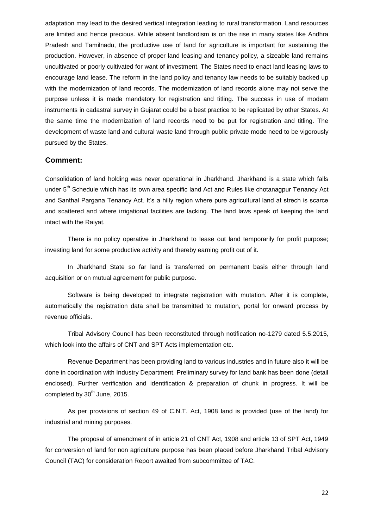adaptation may lead to the desired vertical integration leading to rural transformation. Land resources are limited and hence precious. While absent landlordism is on the rise in many states like Andhra Pradesh and Tamilnadu, the productive use of land for agriculture is important for sustaining the production. However, in absence of proper land leasing and tenancy policy, a sizeable land remains uncultivated or poorly cultivated for want of investment. The States need to enact land leasing laws to encourage land lease. The reform in the land policy and tenancy law needs to be suitably backed up with the modernization of land records. The modernization of land records alone may not serve the purpose unless it is made mandatory for registration and titling. The success in use of modern instruments in cadastral survey in Gujarat could be a best practice to be replicated by other States. At the same time the modernization of land records need to be put for registration and titling. The development of waste land and cultural waste land through public private mode need to be vigorously pursued by the States.

### **Comment:**

Consolidation of land holding was never operational in Jharkhand. Jharkhand is a state which falls under 5<sup>th</sup> Schedule which has its own area specific land Act and Rules like chotanagpur Tenancy Act and Santhal Pargana Tenancy Act. It's a hilly region where pure agricultural land at strech is scarce and scattered and where irrigational facilities are lacking. The land laws speak of keeping the land intact with the Raiyat.

There is no policy operative in Jharkhand to lease out land temporarily for profit purpose; investing land for some productive activity and thereby earning profit out of it.

In Jharkhand State so far land is transferred on permanent basis either through land acquisition or on mutual agreement for public purpose.

Software is being developed to integrate registration with mutation. After it is complete, automatically the registration data shall be transmitted to mutation, portal for onward process by revenue officials.

Tribal Advisory Council has been reconstituted through notification no-1279 dated 5.5.2015, which look into the affairs of CNT and SPT Acts implementation etc.

Revenue Department has been providing land to various industries and in future also it will be done in coordination with Industry Department. Preliminary survey for land bank has been done (detail enclosed). Further verification and identification & preparation of chunk in progress. It will be completed by 30<sup>th</sup> June, 2015.

As per provisions of section 49 of C.N.T. Act, 1908 land is provided (use of the land) for industrial and mining purposes.

The proposal of amendment of in article 21 of CNT Act, 1908 and article 13 of SPT Act, 1949 for conversion of land for non agriculture purpose has been placed before Jharkhand Tribal Advisory Council (TAC) for consideration Report awaited from subcommittee of TAC.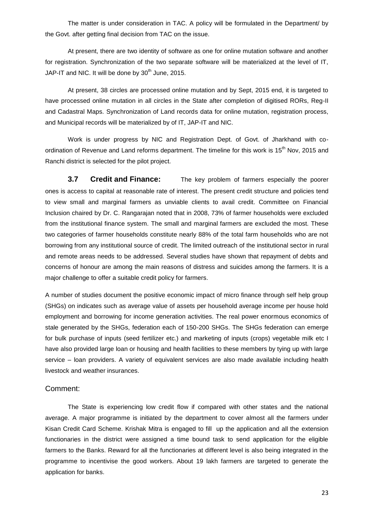The matter is under consideration in TAC. A policy will be formulated in the Department/ by the Govt. after getting final decision from TAC on the issue.

At present, there are two identity of software as one for online mutation software and another for registration. Synchronization of the two separate software will be materialized at the level of IT, JAP-IT and NIC. It will be done by  $30<sup>th</sup>$  June, 2015.

At present, 38 circles are processed online mutation and by Sept, 2015 end, it is targeted to have processed online mutation in all circles in the State after completion of digitised RORs, Reg-II and Cadastral Maps. Synchronization of Land records data for online mutation, registration process, and Municipal records will be materialized by of IT, JAP-IT and NIC.

Work is under progress by NIC and Registration Dept. of Govt. of Jharkhand with coordination of Revenue and Land reforms department. The timeline for this work is 15<sup>th</sup> Nov, 2015 and Ranchi district is selected for the pilot project.

**3.7 Credit and Finance:** The key problem of farmers especially the poorer ones is access to capital at reasonable rate of interest. The present credit structure and policies tend to view small and marginal farmers as unviable clients to avail credit. Committee on Financial Inclusion chaired by Dr. C. Rangarajan noted that in 2008, 73% of farmer households were excluded from the institutional finance system. The small and marginal farmers are excluded the most. These two categories of farmer households constitute nearly 88% of the total farm households who are not borrowing from any institutional source of credit. The limited outreach of the institutional sector in rural and remote areas needs to be addressed. Several studies have shown that repayment of debts and concerns of honour are among the main reasons of distress and suicides among the farmers. It is a major challenge to offer a suitable credit policy for farmers.

A number of studies document the positive economic impact of micro finance through self help group (SHGs) on indicates such as average value of assets per household average income per house hold employment and borrowing for income generation activities. The real power enormous economics of stale generated by the SHGs, federation each of 150-200 SHGs. The SHGs federation can emerge for bulk purchase of inputs (seed fertilizer etc.) and marketing of inputs (crops) vegetable milk etc I have also provided large loan or housing and health facilities to these members by tying up with large service – loan providers. A variety of equivalent services are also made available including health livestock and weather insurances.

### Comment:

The State is experiencing low credit flow if compared with other states and the national average. A major programme is initiated by the department to cover almost all the farmers under Kisan Credit Card Scheme. Krishak Mitra is engaged to fill up the application and all the extension functionaries in the district were assigned a time bound task to send application for the eligible farmers to the Banks. Reward for all the functionaries at different level is also being integrated in the programme to incentivise the good workers. About 19 lakh farmers are targeted to generate the application for banks.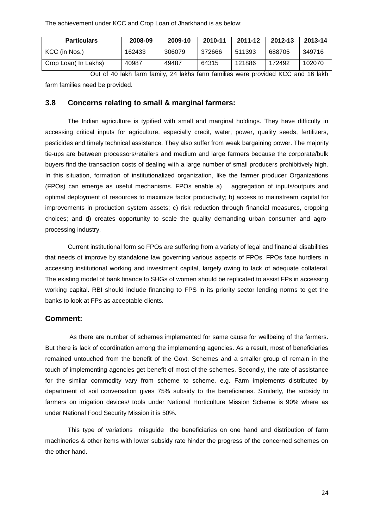The achievement under KCC and Crop Loan of Jharkhand is as below:

| <b>Particulars</b>  | 2008-09 | 2009-10 | 2010-11 | 2011-12 | 2012-13 | 2013-14 |
|---------------------|---------|---------|---------|---------|---------|---------|
| KCC (in Nos.)       | 162433  | 306079  | 372666  | 511393  | 688705  | 349716  |
| Crop Loan(In Lakhs) | 40987   | 49487   | 64315   | 121886  | 172492  | 102070  |

Out of 40 lakh farm family, 24 lakhs farm families were provided KCC and 16 lakh farm families need be provided.

## **3.8 Concerns relating to small & marginal farmers:**

The Indian agriculture is typified with small and marginal holdings. They have difficulty in accessing critical inputs for agriculture, especially credit, water, power, quality seeds, fertilizers, pesticides and timely technical assistance. They also suffer from weak bargaining power. The majority tie-ups are between processors/retailers and medium and large farmers because the corporate/bulk buyers find the transaction costs of dealing with a large number of small producers prohibitively high. In this situation, formation of institutionalized organization, like the farmer producer Organizations (FPOs) can emerge as useful mechanisms. FPOs enable a) aggregation of inputs/outputs and optimal deployment of resources to maximize factor productivity; b) access to mainstream capital for improvements in production system assets; c) risk reduction through financial measures, cropping choices; and d) creates opportunity to scale the quality demanding urban consumer and agroprocessing industry.

Current institutional form so FPOs are suffering from a variety of legal and financial disabilities that needs ot improve by standalone law governing various aspects of FPOs. FPOs face hurdlers in accessing institutional working and investment capital, largely owing to lack of adequate collateral. The existing model of bank finance to SHGs of women should be replicated to assist FPs in accessing working capital. RBI should include financing to FPS in its priority sector lending norms to get the banks to look at FPs as acceptable clients.

## **Comment:**

 As there are number of schemes implemented for same cause for wellbeing of the farmers. But there is lack of coordination among the implementing agencies. As a result, most of beneficiaries remained untouched from the benefit of the Govt. Schemes and a smaller group of remain in the touch of implementing agencies get benefit of most of the schemes. Secondly, the rate of assistance for the similar commodity vary from scheme to scheme. e.g. Farm implements distributed by department of soil conversation gives 75% subsidy to the beneficiaries. Similarly, the subsidy to farmers on irrigation devices/ tools under National Horticulture Mission Scheme is 90% where as under National Food Security Mission it is 50%.

 This type of variations misguide the beneficiaries on one hand and distribution of farm machineries & other items with lower subsidy rate hinder the progress of the concerned schemes on the other hand.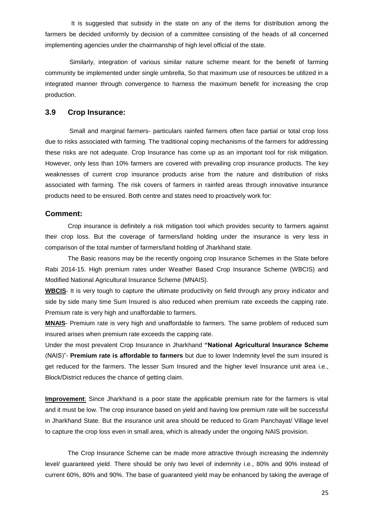It is suggested that subsidy in the state on any of the items for distribution among the farmers be decided uniformly by decision of a committee consisting of the heads of all concerned implementing agencies under the chairmanship of high level official of the state.

 Similarly, integration of various similar nature scheme meant for the benefit of farming community be implemented under single umbrella, So that maximum use of resources be utilized in a integrated manner through convergence to harness the maximum benefit for increasing the crop production.

## **3.9 Crop Insurance:**

Small and marginal farmers- particulars rainfed farmers often face partial or total crop loss due to risks associated with farming. The traditional coping mechanisms of the farmers for addressing these risks are not adequate. Crop Insurance has come up as an important tool for risk mitigation. However, only less than 10% farmers are covered with prevailing crop insurance products. The key weaknesses of current crop insurance products arise from the nature and distribution of risks associated with farming. The risk covers of farmers in rainfed areas through innovative insurance products need to be ensured. Both centre and states need to proactively work for:

#### **Comment:**

Crop insurance is definitely a risk mitigation tool which provides security to farmers against their crop loss. But the coverage of farmers/land holding under the insurance is very less in comparison of the total number of farmers/land holding of Jharkhand state.

The Basic reasons may be the recently ongoing crop Insurance Schemes in the State before Rabi 2014-15. High premium rates under Weather Based Crop Insurance Scheme (WBCIS) and Modified National Agricultural Insurance Scheme (MNAIS).

**WBCIS**- It is very tough to capture the ultimate productivity on field through any proxy indicator and side by side many time Sum Insured is also reduced when premium rate exceeds the capping rate. Premium rate is very high and unaffordable to farmers.

**MNAIS**- Premium rate is very high and unaffordable to farmers. The same problem of reduced sum insured arises when premium rate exceeds the capping rate.

Under the most prevalent Crop Insurance in Jharkhand **"National Agricultural Insurance Scheme** (NAIS)"- **Premium rate is affordable to farmers** but due to lower Indemnity level the sum insured is get reduced for the farmers. The lesser Sum Insured and the higher level Insurance unit area i.e., Block/District reduces the chance of getting claim.

**Improvement**: Since Jharkhand is a poor state the applicable premium rate for the farmers is vital and it must be low. The crop insurance based on yield and having low premium rate will be successful in Jharkhand State. But the insurance unit area should be reduced to Gram Panchayat/ Village level to capture the crop loss even in small area, which is already under the ongoing NAIS provision.

The Crop Insurance Scheme can be made more attractive through increasing the indemnity level/ guaranteed yield. There should be only two level of indemnity i.e., 80% and 90% instead of current 60%, 80% and 90%. The base of guaranteed yield may be enhanced by taking the average of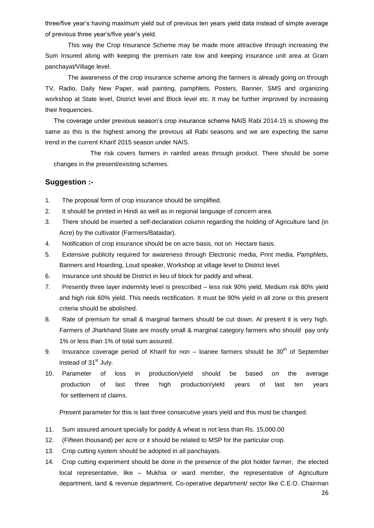three/five year"s having maximum yield out of previous ten years yield data instead of simple average of previous three year"s/five year"s yield.

This way the Crop Insurance Scheme may be made more attractive through increasing the Sum Insured along with keeping the premium rate low and keeping insurance unit area at Gram panchayat/Village level.

The awareness of the crop insurance scheme among the farmers is already going on through TV, Radio, Daily New Paper, wall painting, pamphlets, Posters, Banner, SMS and organizing workshop at State level, District level and Block level etc. It may be further improved by increasing their frequencies.

The coverage under previous season"s crop insurance scheme NAIS Rabi 2014-15 is showing the same as this is the highest among the previous all Rabi seasons and we are expecting the same trend in the current Kharif 2015 season under NAIS.

The risk covers farmers in rainfed areas through product. There should be some changes in the present/existing schemes.

## **Suggestion :-**

- 1. The proposal form of crop insurance should be simplified.
- 2. It should be printed in Hindi as well as in regional language of concern area.
- 3. There should be inserted a self-declaration column regarding the holding of Agriculture land (in Acre) by the cultivator (Farmers/Bataidar).
- 4. Notification of crop insurance should be on acre basis, not on Hectare basis.
- 5. Extensive publicity required for awareness through Electronic media, Print media, Pamphlets, Banners and Hoarding, Loud speaker, Workshop at village level to District level.
- 6. Insurance unit should be District in lieu of block for paddy and wheat.
- 7. Presently three layer indemnity level is prescribed less risk 90% yield, Medium risk 80% yield and high risk 60% yield. This needs rectification. It must be 90% yield in all zone or this present criteria should be abolished.
- 8. Rate of premium for small & marginal farmers should be cut down. At present it is very high. Farmers of Jharkhand State are mostly small & marginal category farmers who should pay only 1% or less than 1% of total sum assured.
- 9. Insurance coverage period of Kharif for non  $-$  loanee farmers should be  $30<sup>th</sup>$  of September instead of  $31<sup>st</sup>$  July.
- 10. Parameter of loss in production/yield should be based on the average production of last three high production/yield years of last ten years for settlement of claims.

Present parameter for this is last three consecutive years yield and this must be changed.

- 11. Sum assured amount specially for paddy & wheat is not less than Rs. 15,000.00
- 12. (Fifteen thousand) per acre or it should be related to MSP for the particular crop.
- 13. Crop cutting system should be adopted in all panchayats.
- 14. Crop cutting experiment should be done in the presence of the plot holder farmer, the elected local representative, like – Mukhia or ward member, the representative of Agriculture department, land & revenue department, Co-operative department/ sector like C.E.O. Chairman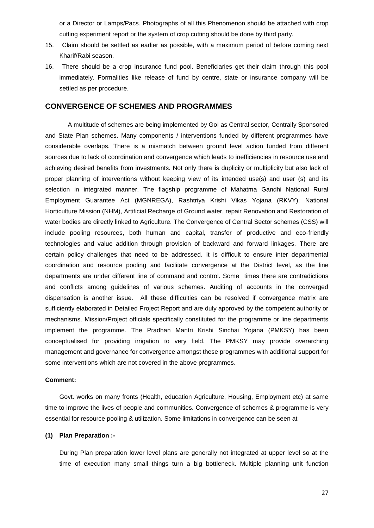or a Director or Lamps/Pacs. Photographs of all this Phenomenon should be attached with crop cutting experiment report or the system of crop cutting should be done by third party.

- 15. Claim should be settled as earlier as possible, with a maximum period of before coming next Kharif/Rabi season.
- 16. There should be a crop insurance fund pool. Beneficiaries get their claim through this pool immediately. Formalities like release of fund by centre, state or insurance company will be settled as per procedure.

## **CONVERGENCE OF SCHEMES AND PROGRAMMES**

A multitude of schemes are being implemented by GoI as Central sector, Centrally Sponsored and State Plan schemes. Many components / interventions funded by different programmes have considerable overlaps. There is a mismatch between ground level action funded from different sources due to lack of coordination and convergence which leads to inefficiencies in resource use and achieving desired benefits from investments. Not only there is duplicity or multiplicity but also lack of proper planning of interventions without keeping view of its intended use(s) and user (s) and its selection in integrated manner. The flagship programme of Mahatma Gandhi National Rural Employment Guarantee Act (MGNREGA), Rashtriya Krishi Vikas Yojana (RKVY), National Horticulture Mission (NHM), Artificial Recharge of Ground water, repair Renovation and Restoration of water bodies are directly linked to Agriculture. The Convergence of Central Sector schemes (CSS) will include pooling resources, both human and capital, transfer of productive and eco-friendly technologies and value addition through provision of backward and forward linkages. There are certain policy challenges that need to be addressed. It is difficult to ensure inter departmental coordination and resource pooling and facilitate convergence at the District level, as the line departments are under different line of command and control. Some times there are contradictions and conflicts among guidelines of various schemes. Auditing of accounts in the converged dispensation is another issue. All these difficulties can be resolved if convergence matrix are sufficiently elaborated in Detailed Project Report and are duly approved by the competent authority or mechanisms. Mission/Project officials specifically constituted for the programme or line departments implement the programme. The Pradhan Mantri Krishi Sinchai Yojana (PMKSY) has been conceptualised for providing irrigation to very field. The PMKSY may provide overarching management and governance for convergence amongst these programmes with additional support for some interventions which are not covered in the above programmes.

#### **Comment:**

Govt. works on many fronts (Health, education Agriculture, Housing, Employment etc) at same time to improve the lives of people and communities. Convergence of schemes & programme is very essential for resource pooling & utilization. Some limitations in convergence can be seen at

#### **(1) Plan Preparation :-**

During Plan preparation lower level plans are generally not integrated at upper level so at the time of execution many small things turn a big bottleneck. Multiple planning unit function